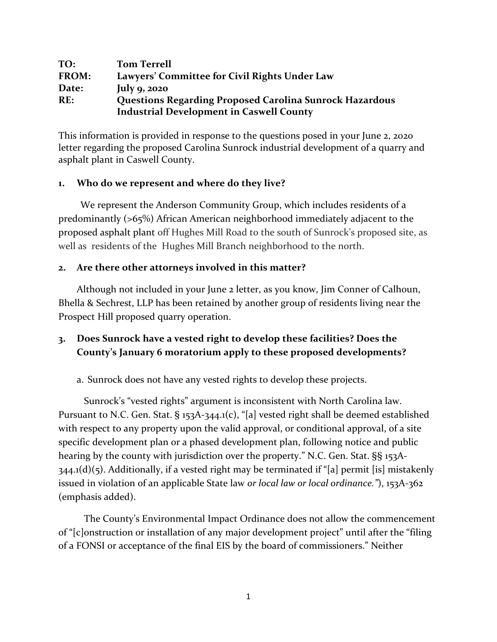| TO:   | <b>Tom Terrell</b>                                             |
|-------|----------------------------------------------------------------|
| FROM: | Lawyers' Committee for Civil Rights Under Law                  |
| Date: | July $9, 2020$                                                 |
| RE:   | <b>Questions Regarding Proposed Carolina Sunrock Hazardous</b> |
|       | <b>Industrial Development in Caswell County</b>                |

This information is provided in response to the questions posed in your June 2, 2020 letter regarding the proposed Carolina Sunrock industrial development of a quarry and asphalt plant in Caswell County.

## **1. Who do we represent and where do they live?**

We represent the Anderson Community Group, which includes residents of a predominantly (>65%) African American neighborhood immediately adjacent to the proposed asphalt plant off Hughes Mill Road to the south of Sunrock's proposed site, as well as residents of the Hughes Mill Branch neighborhood to the north.

## **2. Are there other attorneys involved in this matter?**

Although not included in your June 2 letter, as you know, Jim Conner of Calhoun, Bhella & Sechrest, LLP has been retained by another group of residents living near the Prospect Hill proposed quarry operation.

## **3. Does Sunrock have a vested right to develop these facilities? Does the County's January 6 moratorium apply to these proposed developments?**

a. Sunrock does not have any vested rights to develop these projects.

Sunrock's "vested rights" argument is inconsistent with North Carolina law. Pursuant to N.C. Gen. Stat. § 153A-344.1(c), "[a] vested right shall be deemed established with respect to any property upon the valid approval, or conditional approval, of a site specific development plan or a phased development plan, following notice and public hearing by the county with jurisdiction over the property." N.C. Gen. Stat. §§ 153A- $344.1(d)(5)$ . Additionally, if a vested right may be terminated if "[a] permit [is] mistakenly issued in violation of an applicable State law *or local law or local ordinance."*), 153A-362 (emphasis added).

The County's Environmental Impact Ordinance does not allow the commencement of "[c]onstruction or installation of any major development project" until after the "filing of a FONSI or acceptance of the final EIS by the board of commissioners." Neither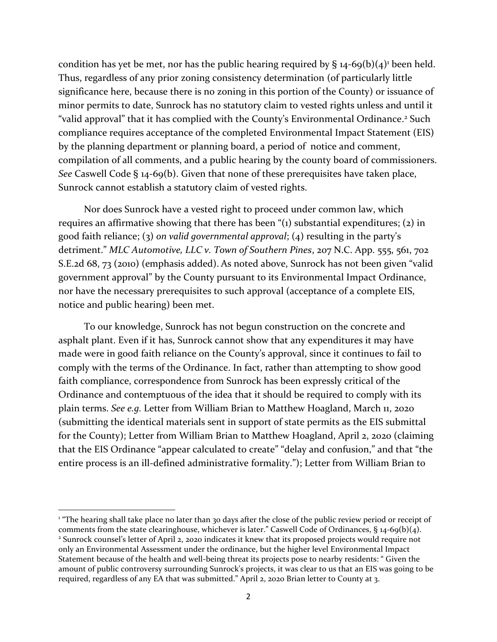condition has yet be met, nor has the public hearing required by  $\S$  14-69(b)(4)<sup>1</sup> been held. Thus, regardless of any prior zoning consistency determination (of particularly little significance here, because there is no zoning in this portion of the County) or issuance of minor permits to date, Sunrock has no statutory claim to vested rights unless and until it "valid approval" that it has complied with the County's Environmental Ordinance. <sup>2</sup> Such compliance requires acceptance of the completed Environmental Impact Statement (EIS) by the planning department or planning board, a period of notice and comment, compilation of all comments, and a public hearing by the county board of commissioners. *See* Caswell Code § 14-69(b). Given that none of these prerequisites have taken place, Sunrock cannot establish a statutory claim of vested rights.

Nor does Sunrock have a vested right to proceed under common law, which requires an affirmative showing that there has been "(1) substantial expenditures; (2) in good faith reliance; (3) *on valid governmental approval*; (4) resulting in the party's detriment." *MLC Automotive, LLC v. Town of Southern Pines*, 207 N.C. App. 555, 561, 702 S.E.2d 68, 73 (2010) (emphasis added). As noted above, Sunrock has not been given "valid government approval" by the County pursuant to its Environmental Impact Ordinance, nor have the necessary prerequisites to such approval (acceptance of a complete EIS, notice and public hearing) been met.

To our knowledge, Sunrock has not begun construction on the concrete and asphalt plant. Even if it has, Sunrock cannot show that any expenditures it may have made were in good faith reliance on the County's approval, since it continues to fail to comply with the terms of the Ordinance. In fact, rather than attempting to show good faith compliance, correspondence from Sunrock has been expressly critical of the Ordinance and contemptuous of the idea that it should be required to comply with its plain terms. *See e.g.* Letter from William Brian to Matthew Hoagland, March 11, 2020 (submitting the identical materials sent in support of state permits as the EIS submittal for the County); Letter from William Brian to Matthew Hoagland, April 2, 2020 (claiming that the EIS Ordinance "appear calculated to create" "delay and confusion," and that "the entire process is an ill-defined administrative formality."); Letter from William Brian to

 $\overline{\phantom{a}}$ 

<sup>&</sup>lt;sup>1</sup> "The hearing shall take place no later than 30 days after the close of the public review period or receipt of comments from the state clearinghouse, whichever is later." Caswell Code of Ordinances, § 14-69(b)(4).

<sup>2</sup> Sunrock counsel's letter of April 2, 2020 indicates it knew that its proposed projects would require not only an Environmental Assessment under the ordinance, but the higher level Environmental Impact Statement because of the health and well-being threat its projects pose to nearby residents: " Given the amount of public controversy surrounding Sunrock's projects, it was clear to us that an EIS was going to be required, regardless of any EA that was submitted." April 2, 2020 Brian letter to County at 3.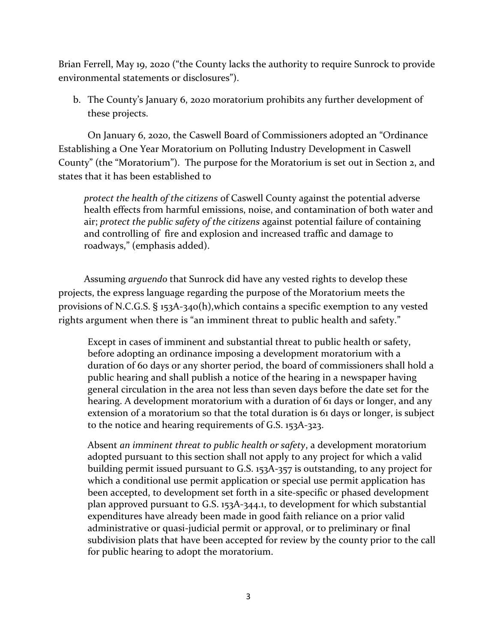Brian Ferrell, May 19, 2020 ("the County lacks the authority to require Sunrock to provide environmental statements or disclosures").

b. The County's January 6, 2020 moratorium prohibits any further development of these projects.

On January 6, 2020, the Caswell Board of Commissioners adopted an "Ordinance Establishing a One Year Moratorium on Polluting Industry Development in Caswell County" (the "Moratorium"). The purpose for the Moratorium is set out in Section 2, and states that it has been established to

*protect the health of the citizens* of Caswell County against the potential adverse health effects from harmful emissions, noise, and contamination of both water and air; *protect the public safety of the citizens* against potential failure of containing and controlling of fire and explosion and increased traffic and damage to roadways," (emphasis added).

Assuming *arguendo* that Sunrock did have any vested rights to develop these projects, the express language regarding the purpose of the Moratorium meets the provisions of N.C.G.S. § 153A-340(h),which contains a specific exemption to any vested rights argument when there is "an imminent threat to public health and safety."

Except in cases of imminent and substantial threat to public health or safety, before adopting an ordinance imposing a development moratorium with a duration of 60 days or any shorter period, the board of commissioners shall hold a public hearing and shall publish a notice of the hearing in a newspaper having general circulation in the area not less than seven days before the date set for the hearing. A development moratorium with a duration of 61 days or longer, and any extension of a moratorium so that the total duration is 61 days or longer, is subject to the notice and hearing requirements of [G.S. 153A-323.](https://1.next.westlaw.com/Link/Document/FullText?findType=L&pubNum=1000037&cite=NCSTS153A-323&originatingDoc=N0B6F7F10C8AB11E9B4CEA5FF4FFE9C0C&refType=LQ&originationContext=document&transitionType=DocumentItem&contextData=(sc.Category))

Absent *an imminent threat to public health or safety*, a development moratorium adopted pursuant to this section shall not apply to any project for which a valid building permit issued pursuant to [G.S. 153A-357](https://1.next.westlaw.com/Link/Document/FullText?findType=L&pubNum=1000037&cite=NCSTS153A-357&originatingDoc=N0B6F7F10C8AB11E9B4CEA5FF4FFE9C0C&refType=LQ&originationContext=document&transitionType=DocumentItem&contextData=(sc.Category)) is outstanding, to any project for which a conditional use permit application or special use permit application has been accepted, to development set forth in a site-specific or phased development plan approved pursuant to [G.S. 153A-344.1,](https://1.next.westlaw.com/Link/Document/FullText?findType=L&pubNum=1000037&cite=NCSTS153A-344.1&originatingDoc=N0B6F7F10C8AB11E9B4CEA5FF4FFE9C0C&refType=LQ&originationContext=document&transitionType=DocumentItem&contextData=(sc.Category)) to development for which substantial expenditures have already been made in good faith reliance on a prior valid administrative or quasi-judicial permit or approval, or to preliminary or final subdivision plats that have been accepted for review by the county prior to the call for public hearing to adopt the moratorium.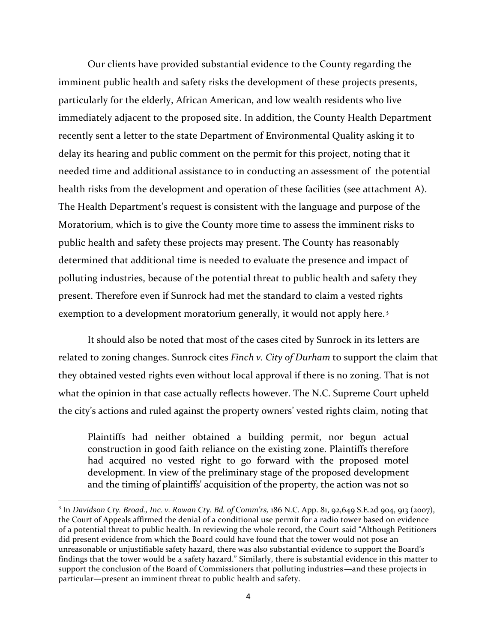Our clients have provided substantial evidence to the County regarding the imminent public health and safety risks the development of these projects presents, particularly for the elderly, African American, and low wealth residents who live immediately adjacent to the proposed site. In addition, the County Health Department recently sent a letter to the state Department of Environmental Quality asking it to delay its hearing and public comment on the permit for this project, noting that it needed time and additional assistance to in conducting an assessment of the potential health risks from the development and operation of these facilities (see attachment A). The Health Department's request is consistent with the language and purpose of the Moratorium, which is to give the County more time to assess the imminent risks to public health and safety these projects may present. The County has reasonably determined that additional time is needed to evaluate the presence and impact of polluting industries, because of the potential threat to public health and safety they present. Therefore even if Sunrock had met the standard to claim a vested rights exemption to a development moratorium generally, it would not apply here.<sup>3</sup>

It should also be noted that most of the cases cited by Sunrock in its letters are related to zoning changes. Sunrock cites *Finch v. City of Durham* to support the claim that they obtained vested rights even without local approval if there is no zoning. That is not what the opinion in that case actually reflects however. The N.C. Supreme Court upheld the city's actions and ruled against the property owners' vested rights claim, noting that

Plaintiffs had neither obtained a building permit, nor begun actual construction in good faith reliance on the existing zone. Plaintiffs therefore had acquired no vested right to go forward with the proposed motel development. In view of the preliminary stage of the proposed development and the timing of plaintiffs' acquisition of the property, the action was not so

<sup>3</sup> In *Davidson Cty. Broad., Inc. v. Rowan Cty. Bd. of Comm'rs,* 186 N.C. App. 81, 92,649 S.E.2d 904, 913 (2007), the Court of Appeals affirmed the denial of a conditional use permit for a radio tower based on evidence of a potential threat to public health. In reviewing the whole record, the Court said "Although Petitioners did present evidence from which the Board could have found that the tower would not pose an unreasonable or unjustifiable safety hazard, there was also substantial evidence to support the Board's findings that the tower would be a safety hazard." Similarly, there is substantial evidence in this matter to support the conclusion of the Board of Commissioners that polluting industries—and these projects in particular—present an imminent threat to public health and safety.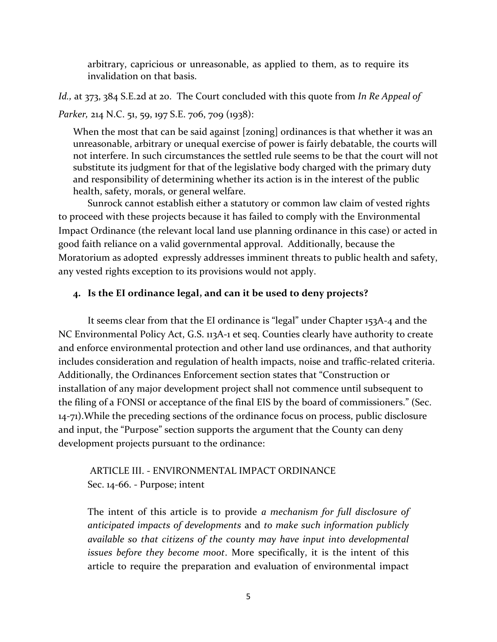arbitrary, capricious or unreasonable, as applied to them, as to require its invalidation on that basis.

*Id.,* at 373, 384 S.E.2d at 20. The Court concluded with this quote from *In Re Appeal of Parker,* 214 N.C. 51, 59, 197 S.E. 706, 709 (1938):

When the most that can be said against [zoning] ordinances is that whether it was an unreasonable, arbitrary or unequal exercise of power is fairly debatable, the courts will not interfere. In such circumstances the settled rule seems to be that the court will not substitute its judgment for that of the legislative body charged with the primary duty and responsibility of determining whether its action is in the interest of the public health, safety, morals, or general welfare.

Sunrock cannot establish either a statutory or common law claim of vested rights to proceed with these projects because it has failed to comply with the Environmental Impact Ordinance (the relevant local land use planning ordinance in this case) or acted in good faith reliance on a valid governmental approval. Additionally, because the Moratorium as adopted expressly addresses imminent threats to public health and safety, any vested rights exception to its provisions would not apply.

#### **4. Is the EI ordinance legal, and can it be used to deny projects?**

It seems clear from that the EI ordinance is "legal" under Chapter 153A-4 and the NC Environmental Policy Act, G.S. 113A-1 et seq. Counties clearly have authority to create and enforce environmental protection and other land use ordinances, and that authority includes consideration and regulation of health impacts, noise and traffic-related criteria. Additionally, the Ordinances Enforcement section states that "Construction or installation of any major development project shall not commence until subsequent to the filing of a FONSI or acceptance of the final EIS by the board of commissioners." (Sec. 14-71).While the preceding sections of the ordinance focus on process, public disclosure and input, the "Purpose" section supports the argument that the County can deny development projects pursuant to the ordinance:

## ARTICLE III. - ENVIRONMENTAL IMPACT ORDINANCE Sec. 14-66. - Purpose; intent

The intent of this article is to provide *a mechanism for full disclosure of anticipated impacts of developments* and *to make such information publicly available so that citizens of the county may have input into developmental issues before they become moot*. More specifically, it is the intent of this article to require the preparation and evaluation of environmental impact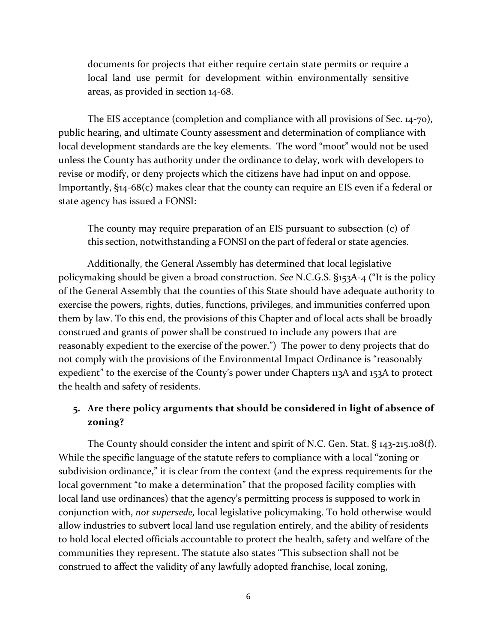documents for projects that either require certain state permits or require a local land use permit for development within environmentally sensitive areas, as provided in section 14-68.

The EIS acceptance (completion and compliance with all provisions of Sec. 14-70), public hearing, and ultimate County assessment and determination of compliance with local development standards are the key elements. The word "moot" would not be used unless the County has authority under the ordinance to delay, work with developers to revise or modify, or deny projects which the citizens have had input on and oppose. Importantly, §14-68(c) makes clear that the county can require an EIS even if a federal or state agency has issued a FONSI:

The county may require preparation of an EIS pursuant to subsection (c) of this section, notwithstanding a FONSI on the part of federal or state agencies.

Additionally, the General Assembly has determined that local legislative policymaking should be given a broad construction. *See* N.C.G.S. §153A-4 ("It is the policy of the General Assembly that the counties of this State should have adequate authority to exercise the powers, rights, duties, functions, privileges, and immunities conferred upon them by law. To this end, the provisions of this Chapter and of local acts shall be broadly construed and grants of power shall be construed to include any powers that are reasonably expedient to the exercise of the power.") The power to deny projects that do not comply with the provisions of the Environmental Impact Ordinance is "reasonably expedient" to the exercise of the County's power under Chapters 113A and 153A to protect the health and safety of residents.

## **5. Are there policy arguments that should be considered in light of absence of zoning?**

The County should consider the intent and spirit of N.C. Gen. Stat. § 143-215.108(f). While the specific language of the statute refers to compliance with a local "zoning or subdivision ordinance," it is clear from the context (and the express requirements for the local government "to make a determination" that the proposed facility complies with local land use ordinances) that the agency's permitting process is supposed to work in conjunction with, *not supersede,* local legislative policymaking. To hold otherwise would allow industries to subvert local land use regulation entirely, and the ability of residents to hold local elected officials accountable to protect the health, safety and welfare of the communities they represent. The statute also states "This subsection shall not be construed to affect the validity of any lawfully adopted franchise, local zoning,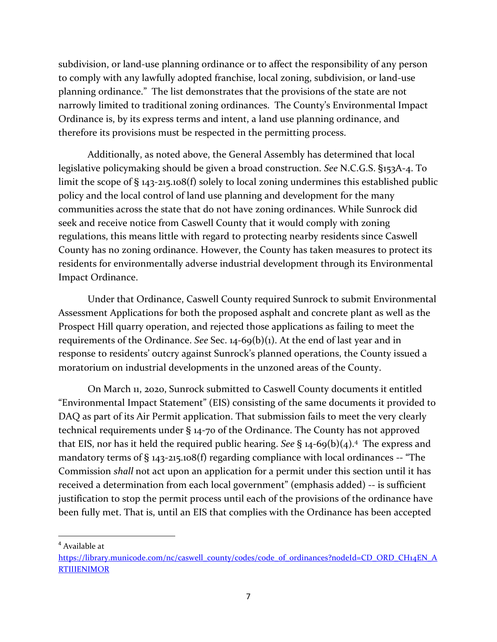subdivision, or land-use planning ordinance or to affect the responsibility of any person to comply with any lawfully adopted franchise, local zoning, subdivision, or land-use planning ordinance." The list demonstrates that the provisions of the state are not narrowly limited to traditional zoning ordinances. The County's Environmental Impact Ordinance is, by its express terms and intent, a land use planning ordinance, and therefore its provisions must be respected in the permitting process.

Additionally, as noted above, the General Assembly has determined that local legislative policymaking should be given a broad construction. *See* N.C.G.S. §153A-4. To limit the scope of § 143-215.108(f) solely to local zoning undermines this established public policy and the local control of land use planning and development for the many communities across the state that do not have zoning ordinances. While Sunrock did seek and receive notice from Caswell County that it would comply with zoning regulations, this means little with regard to protecting nearby residents since Caswell County has no zoning ordinance. However, the County has taken measures to protect its residents for environmentally adverse industrial development through its Environmental Impact Ordinance.

Under that Ordinance, Caswell County required Sunrock to submit Environmental Assessment Applications for both the proposed asphalt and concrete plant as well as the Prospect Hill quarry operation, and rejected those applications as failing to meet the requirements of the Ordinance. *See* Sec. 14-69(b)(1). At the end of last year and in response to residents' outcry against Sunrock's planned operations, the County issued a moratorium on industrial developments in the unzoned areas of the County.

On March 11, 2020, Sunrock submitted to Caswell County documents it entitled "Environmental Impact Statement" (EIS) consisting of the same documents it provided to DAQ as part of its Air Permit application. That submission fails to meet the very clearly technical requirements under § 14-70 of the Ordinance. The County has not approved that EIS, nor has it held the required public hearing. *See* § 14-69(b)(4).<sup>4</sup> The express and mandatory terms of  $\S$  143-215.108(f) regarding compliance with local ordinances -- "The Commission *shall* not act upon an application for a permit under this section until it has received a determination from each local government" (emphasis added) -- is sufficient justification to stop the permit process until each of the provisions of the ordinance have been fully met. That is, until an EIS that complies with the Ordinance has been accepted

<sup>4</sup> Available at

 $\overline{\phantom{a}}$ 

[https://library.municode.com/nc/caswell\\_county/codes/code\\_of\\_ordinances?nodeId=CD\\_ORD\\_CH14EN\\_A](https://library.municode.com/nc/caswell_county/codes/code_of_ordinances?nodeId=CD_ORD_CH14EN_ARTIIIENIMOR) **[RTIIIENIMOR](https://library.municode.com/nc/caswell_county/codes/code_of_ordinances?nodeId=CD_ORD_CH14EN_ARTIIIENIMOR)**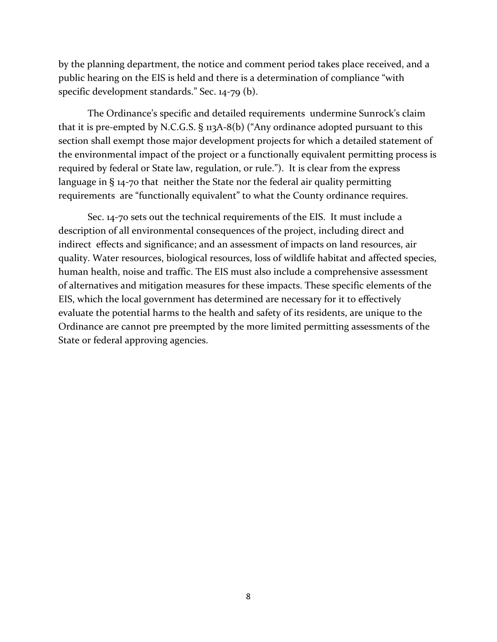by the planning department, the notice and comment period takes place received, and a public hearing on the EIS is held and there is a determination of compliance "with specific development standards." Sec. 14-79 (b).

The Ordinance's specific and detailed requirements undermine Sunrock's claim that it is pre-empted by N.C.G.S.  $\S$  113A-8(b) ("Any ordinance adopted pursuant to this section shall exempt those major development projects for which a detailed statement of the environmental impact of the project or a functionally equivalent permitting process is required by federal or State law, regulation, or rule."). It is clear from the express language in § 14-70 that neither the State nor the federal air quality permitting requirements are "functionally equivalent" to what the County ordinance requires.

Sec. 14-70 sets out the technical requirements of the EIS. It must include a description of all environmental consequences of the project, including direct and indirect effects and significance; and an assessment of impacts on land resources, air quality. Water resources, biological resources, loss of wildlife habitat and affected species, human health, noise and traffic. The EIS must also include a comprehensive assessment of alternatives and mitigation measures for these impacts. These specific elements of the EIS, which the local government has determined are necessary for it to effectively evaluate the potential harms to the health and safety of its residents, are unique to the Ordinance are cannot pre preempted by the more limited permitting assessments of the State or federal approving agencies.